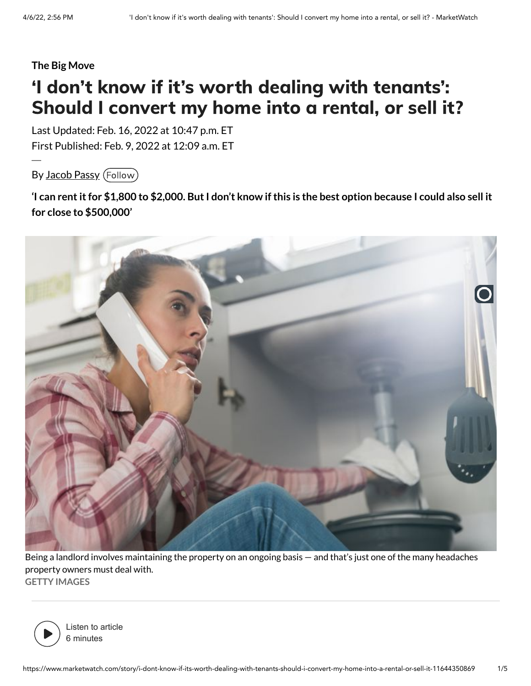#### **The Big Move**

# 'I don't know if it's worth dealing with tenants': Should I convert my home into a rental, or sell it?

Last Updated: Feb. 16, 2022 at 10:47 p.m. ET First Published: Feb. 9, 2022 at 12:09 a.m. ET

By [Jacob Passy](https://www.marketwatch.com/author/jacob-passy) (Follow)

'I can rent it for \$1,800 to \$2,000. But I don't know if this is the best option because I could also sell it **for close to \$500,000'**



Being a landlord involves maintaining the property on an ongoing basis — and that's just one of the many headaches property owners must deal with. **GETTY IMAGES**



Listen to article 6 minutes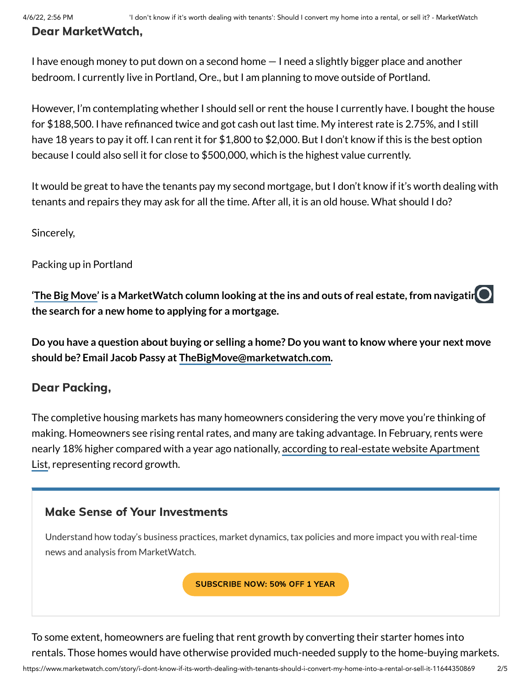# Dear MarketWatch,

I have enough money to put down on a second home — I need a slightly bigger place and another bedroom. I currently live in Portland, Ore., but I am planning to move outside of Portland.

However, I'm contemplating whether I should sell or rent the house I currently have. I bought the house for \$188,500. I have refinanced twice and got cash out last time. My interest rate is 2.75%, and I still have 18 years to pay it off. I can rent it for \$1,800 to \$2,000. But I don't know if this is the best option because I could also sell it for close to \$500,000, which is the highest value currently.

It would be great to have the tenants pay my second mortgage, but I don't know if it's worth dealing with tenants and repairs they may ask for all the time. After all, it is an old house. What should I do?

Sincerely,

Packing up in Portland

**'The Big [Move'](https://www.marketwatch.com/column/the-big-move?mod=article_inline&mod=article_inline&mod=article_inline&mod=article_inline) is a MarketWatch column looking atthe ins and outs of real estate, from navigating the search for a new home to applying for a mortgage.**

Do you have a question about buying or selling a home? Do you want to know where your next move **should be? Email Jacob Passy at [TheBigMove@marketwatch.com.](mailto:TheBigMove@marketwatch.com)**

### Dear Packing,

The completive housing markets has many homeowners considering the very move you're thinking of making. Homeowners see rising rental rates, and many are taking advantage. In February, rents were nearly 18% higher [compared with](https://www.apartmentlist.com/research/national-rent-data) a year ago nationally, according to real-estate website Apartment List, representing record growth.

### Make Sense of Your Investments

Understand how today's business practices, market dynamics, tax policies and more impact you with real-time news and analysis from MarketWatch.

[SUBSCRIBE](https://store.marketwatch.com/shop/us/us/mkwsprings22/?inttrackingCode=aaqx8srr&icid=MW_ON_ALL_ACQ_NA&n2IKsaD9=n2IKsaD9&Cp5dKJWb=Cp5dKJWb) NOW: 50% OFF 1 YEAR

To some extent, homeowners are fueling that rent growth by converting their starter homes into rentals. Those homes would have otherwise provided much-needed supply to the home-buying markets.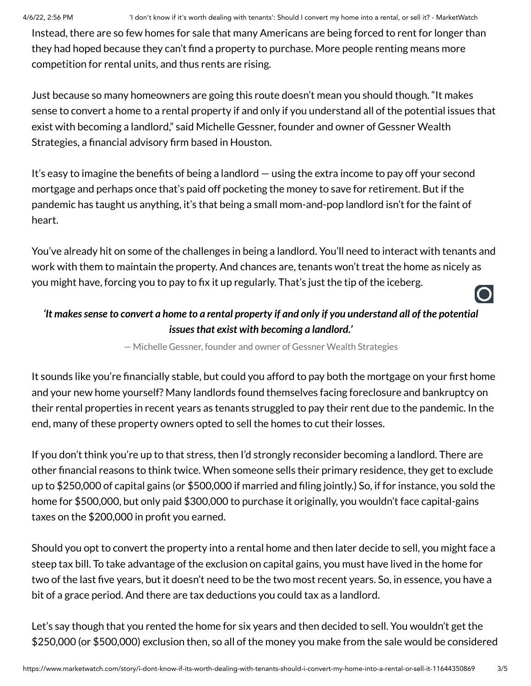Instead, there are so few homes for sale that many Americans are being forced to rent for longer than they had hoped because they can't find a property to purchase. More people renting means more competition for rental units, and thus rents are rising.

Just because so many homeowners are going this route doesn't mean you should though. "It makes sense to convert a home to a rental property if and only if you understand all of the potential issues that exist with becoming a landlord," said Michelle Gessner, founder and owner of Gessner Wealth Strategies, a financial advisory firm based in Houston.

It's easy to imagine the benefits of being a landlord — using the extra income to pay off your second mortgage and perhaps once that's paid off pocketing the money to save for retirement. But if the pandemic has taught us anything, it's that being a small mom-and-pop landlord isn't for the faint of heart.

You've already hit on some of the challenges in being a landlord. You'll need to interact with tenants and work with them to maintain the property. And chances are, tenants won't treat the home as nicely as you might have, forcing you to pay to fix it up regularly. That's just the tip of the iceberg.

## 'It makes sense to convert a home to a rental property if and only if you understand all of the potential *issuesthat exist with becoming a landlord.'*

— Michelle Gessner, founder and owner of Gessner Wealth Strategies

It sounds like you're financially stable, but could you afford to pay both the mortgage on your first home and your new home yourself? Many landlords found themselves facing foreclosure and bankruptcy on their rental properties in recent years as tenants struggled to pay their rent due to the pandemic. In the end, many of these property owners opted to sell the homes to cut their losses.

If you don't think you're up to that stress, then I'd strongly reconsider becoming a landlord. There are other financial reasons to think twice. When someone sells their primary residence, they get to exclude up to \$250,000 of capital gains (or \$500,000 if married and filing jointly.) So, if for instance, you sold the home for \$500,000, but only paid \$300,000 to purchase it originally, you wouldn't face capital-gains taxes on the \$200,000 in profit you earned.

Should you opt to convert the property into a rental home and then later decide to sell, you might face a steep tax bill. To take advantage of the exclusion on capital gains, you must have lived in the home for two of the last five years, but it doesn't need to be the two most recent years. So, in essence, you have a bit of a grace period. And there are tax deductions you could tax as a landlord.

Let's say though that you rented the home for six years and then decided to sell. You wouldn't get the \$250,000 (or \$500,000) exclusion then, so all of the money you make from the sale would be considered